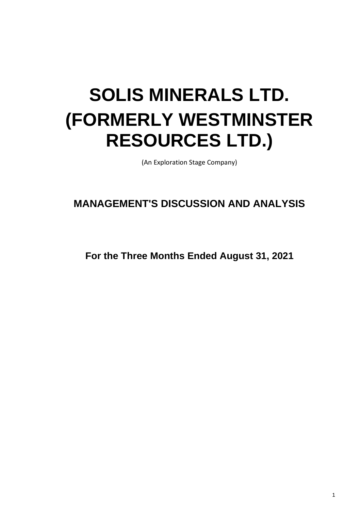# **SOLIS MINERALS LTD. (FORMERLY WESTMINSTER RESOURCES LTD.)**

(An Exploration Stage Company)

# **MANAGEMENT'S DISCUSSION AND ANALYSIS**

**For the Three Months Ended August 31, 2021**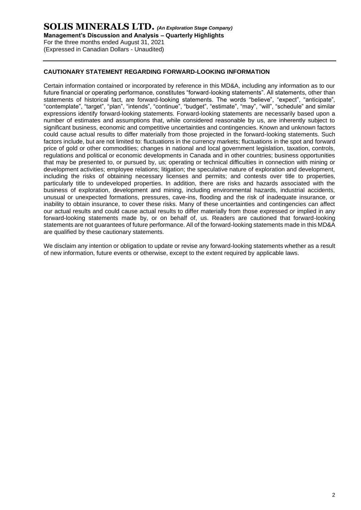# **SOLIS MINERALS LTD.** *(An Exploration Stage Company)* **Management's Discussion and Analysis – Quarterly Highlights** For the three months ended August 31, 2021 (Expressed in Canadian Dollars - Unaudited)

# **CAUTIONARY STATEMENT REGARDING FORWARD-LOOKING INFORMATION**

Certain information contained or incorporated by reference in this MD&A, including any information as to our future financial or operating performance, constitutes "forward-looking statements". All statements, other than statements of historical fact, are forward-looking statements. The words "believe", "expect", "anticipate", "contemplate", "target", "plan", "intends", "continue", "budget", "estimate", "may", "will", "schedule" and similar expressions identify forward-looking statements. Forward-looking statements are necessarily based upon a number of estimates and assumptions that, while considered reasonable by us, are inherently subject to significant business, economic and competitive uncertainties and contingencies. Known and unknown factors could cause actual results to differ materially from those projected in the forward-looking statements. Such factors include, but are not limited to: fluctuations in the currency markets; fluctuations in the spot and forward price of gold or other commodities; changes in national and local government legislation, taxation, controls, regulations and political or economic developments in Canada and in other countries; business opportunities that may be presented to, or pursued by, us; operating or technical difficulties in connection with mining or development activities; employee relations; litigation; the speculative nature of exploration and development, including the risks of obtaining necessary licenses and permits; and contests over title to properties, particularly title to undeveloped properties. In addition, there are risks and hazards associated with the business of exploration, development and mining, including environmental hazards, industrial accidents, unusual or unexpected formations, pressures, cave-ins, flooding and the risk of inadequate insurance, or inability to obtain insurance, to cover these risks. Many of these uncertainties and contingencies can affect our actual results and could cause actual results to differ materially from those expressed or implied in any forward-looking statements made by, or on behalf of, us. Readers are cautioned that forward-looking statements are not guarantees of future performance. All of the forward-looking statements made in this MD&A are qualified by these cautionary statements.

We disclaim any intention or obligation to update or revise any forward-looking statements whether as a result of new information, future events or otherwise, except to the extent required by applicable laws.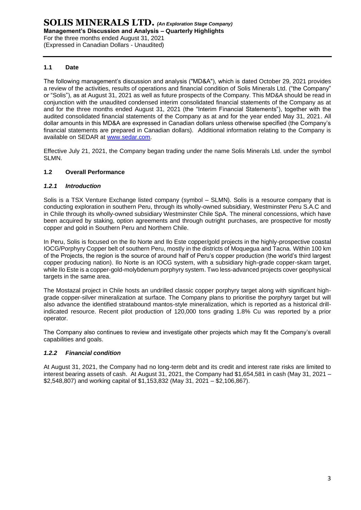# **1.1 Date**

The following management's discussion and analysis ("MD&A"), which is dated October 29, 2021 provides a review of the activities, results of operations and financial condition of Solis Minerals Ltd. ("the Company" or "Solis"), as at August 31, 2021 as well as future prospects of the Company. This MD&A should be read in conjunction with the unaudited condensed interim consolidated financial statements of the Company as at and for the three months ended August 31, 2021 (the "Interim Financial Statements"), together with the audited consolidated financial statements of the Company as at and for the year ended May 31, 2021. All dollar amounts in this MD&A are expressed in Canadian dollars unless otherwise specified (the Company's financial statements are prepared in Canadian dollars). Additional information relating to the Company is available on SEDAR at [www.sedar.com.](http://www.sedar.com/)

Effective July 21, 2021, the Company began trading under the name Solis Minerals Ltd. under the symbol SLMN.

# **1.2 Overall Performance**

# *1.2.1 Introduction*

Solis is a TSX Venture Exchange listed company (symbol – SLMN). Solis is a resource company that is conducting exploration in southern Peru, through its wholly-owned subsidiary, Westminster Peru S.A.C and in Chile through its wholly-owned subsidiary Westminster Chile SpA. The mineral concessions, which have been acquired by staking, option agreements and through outright purchases, are prospective for mostly copper and gold in Southern Peru and Northern Chile.

In Peru, Solis is focused on the Ilo Norte and Ilo Este copper/gold projects in the highly-prospective coastal IOCG/Porphyry Copper belt of southern Peru, mostly in the districts of Moquegua and Tacna. Within 100 km of the Projects, the region is the source of around half of Peru's copper production (the world's third largest copper producing nation). Ilo Norte is an IOCG system, with a subsidiary high-grade copper-skarn target, while Ilo Este is a copper-gold-molybdenum porphyry system. Two less-advanced projects cover geophysical targets in the same area.

The Mostazal project in Chile hosts an undrilled classic copper porphyry target along with significant highgrade copper-silver mineralization at surface. The Company plans to prioritise the porphyry target but will also advance the identified stratabound mantos-style mineralization, which is reported as a historical drillindicated resource. Recent pilot production of 120,000 tons grading 1.8% Cu was reported by a prior operator.

The Company also continues to review and investigate other projects which may fit the Company's overall capabilities and goals.

# *1.2.2 Financial condition*

At August 31, 2021, the Company had no long-term debt and its credit and interest rate risks are limited to interest bearing assets of cash. At August 31, 2021, the Company had \$1,654,581 in cash (May 31, 2021 – \$2,548,807) and working capital of \$1,153,832 (May 31, 2021 – \$2,106,867).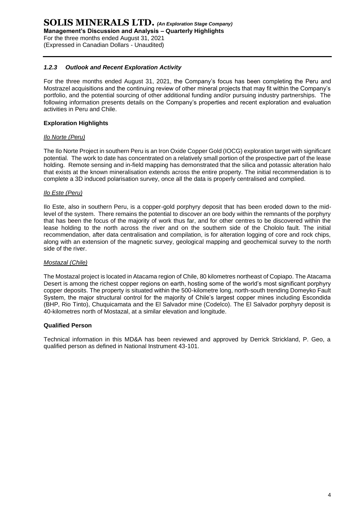# *1.2.3 Outlook and Recent Exploration Activity*

For the three months ended August 31, 2021, the Company's focus has been completing the Peru and Mostrazel acquisitions and the continuing review of other mineral projects that may fit within the Company's portfolio, and the potential sourcing of other additional funding and/or pursuing industry partnerships. The following information presents details on the Company's properties and recent exploration and evaluation activities in Peru and Chile.

# **Exploration Highlights**

#### *Ilo Norte (Peru)*

The Ilo Norte Project in southern Peru is an Iron Oxide Copper Gold (IOCG) exploration target with significant potential. The work to date has concentrated on a relatively small portion of the prospective part of the lease holding. Remote sensing and in-field mapping has demonstrated that the silica and potassic alteration halo that exists at the known mineralisation extends across the entire property. The initial recommendation is to complete a 3D induced polarisation survey, once all the data is properly centralised and complied.

#### *Ilo Este (Peru)*

Ilo Este, also in southern Peru, is a copper-gold porphyry deposit that has been eroded down to the midlevel of the system. There remains the potential to discover an ore body within the remnants of the porphyry that has been the focus of the majority of work thus far, and for other centres to be discovered within the lease holding to the north across the river and on the southern side of the Chololo fault. The initial recommendation, after data centralisation and compilation, is for alteration logging of core and rock chips, along with an extension of the magnetic survey, geological mapping and geochemical survey to the north side of the river.

# *Mostazal (Chile)*

The Mostazal project is located in Atacama region of Chile, 80 kilometres northeast of Copiapo. The Atacama Desert is among the richest copper regions on earth, hosting some of the world's most significant porphyry copper deposits. The property is situated within the 500-kilometre long, north-south trending Domeyko Fault System, the major structural control for the majority of Chile's largest copper mines including Escondida (BHP, Rio Tinto), Chuquicamata and the El Salvador mine (Codelco). The El Salvador porphyry deposit is 40-kilometres north of Mostazal, at a similar elevation and longitude.

#### **Qualified Person**

Technical information in this MD&A has been reviewed and approved by Derrick Strickland, P. Geo, a qualified person as defined in National Instrument 43-101.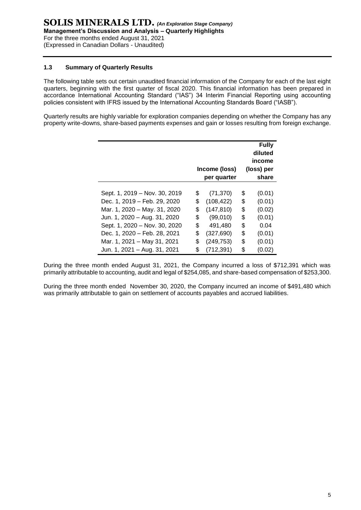# **1.3 Summary of Quarterly Results**

The following table sets out certain unaudited financial information of the Company for each of the last eight quarters, beginning with the first quarter of fiscal 2020. This financial information has been prepared in accordance International Accounting Standard ("IAS") 34 Interim Financial Reporting using accounting policies consistent with IFRS issued by the International Accounting Standards Board ("IASB").

Quarterly results are highly variable for exploration companies depending on whether the Company has any property write-downs, share-based payments expenses and gain or losses resulting from foreign exchange.

|                               | Income (loss)<br>per quarter | <b>Fully</b><br>diluted<br>income<br>(loss) per<br>share |        |  |
|-------------------------------|------------------------------|----------------------------------------------------------|--------|--|
|                               |                              |                                                          |        |  |
| Sept. 1, 2019 - Nov. 30, 2019 | \$<br>(71, 370)              | \$                                                       | (0.01) |  |
| Dec. 1, 2019 - Feb. 29, 2020  | \$<br>(108, 422)             | \$                                                       | (0.01) |  |
| Mar. 1, 2020 - May. 31, 2020  | \$<br>(147, 810)             | \$                                                       | (0.02) |  |
| Jun. 1, 2020 - Aug. 31, 2020  | \$<br>(99,010)               | \$                                                       | (0.01) |  |
| Sept. 1, 2020 - Nov. 30, 2020 | \$<br>491,480                | \$                                                       | 0.04   |  |
| Dec. 1, 2020 - Feb. 28, 2021  | \$<br>(327, 690)             | \$                                                       | (0.01) |  |
| Mar. 1, 2021 - May 31, 2021   | \$<br>(249, 753)             | \$                                                       | (0.01) |  |
| Jun. 1, 2021 - Aug. 31, 2021  | \$<br>(712, 391)             | \$                                                       | (0.02) |  |

During the three month ended August 31, 2021, the Company incurred a loss of \$712,391 which was primarily attributable to accounting, audit and legal of \$254,085, and share-based compensation of \$253,300.

During the three month ended November 30, 2020, the Company incurred an income of \$491,480 which was primarily attributable to gain on settlement of accounts payables and accrued liabilities.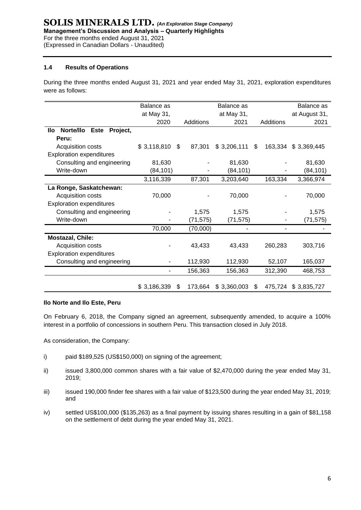# **1.4 Results of Operations**

During the three months ended August 31, 2021 and year ended May 31, 2021, exploration expenditures were as follows:

|                                             | Balance as  |    |           | Balance as  |     |           | Balance as    |
|---------------------------------------------|-------------|----|-----------|-------------|-----|-----------|---------------|
|                                             | at May 31,  |    |           | at May 31,  |     |           | at August 31, |
|                                             | 2020        |    | Additions | 2021        |     | Additions | 2021          |
| Norte/llo<br>Project,<br>llo<br><b>Este</b> |             |    |           |             |     |           |               |
| Peru:                                       |             |    |           |             |     |           |               |
| Acquisition costs                           | \$3,118,810 | \$ | 87,301    | \$3,206,111 | \$  | 163,334   | \$3,369,445   |
| <b>Exploration expenditures</b>             |             |    |           |             |     |           |               |
| Consulting and engineering                  | 81,630      |    |           | 81,630      |     |           | 81,630        |
| Write-down                                  | (84, 101)   |    |           | (84, 101)   |     |           | (84, 101)     |
|                                             | 3,116,339   |    | 87,301    | 3,203,640   |     | 163,334   | 3,366,974     |
| La Ronge, Saskatchewan:                     |             |    |           |             |     |           |               |
| Acquisition costs                           | 70,000      |    |           | 70,000      |     |           | 70,000        |
| <b>Exploration expenditures</b>             |             |    |           |             |     |           |               |
| Consulting and engineering                  |             |    | 1,575     | 1,575       |     |           | 1,575         |
| Write-down                                  |             |    | (71, 575) | (71, 575)   |     |           | (71, 575)     |
|                                             | 70,000      |    | (70,000)  |             |     |           |               |
| Mostazal, Chile:                            |             |    |           |             |     |           |               |
| Acquisition costs                           |             |    | 43,433    | 43,433      |     | 260,283   | 303,716       |
| <b>Exploration expenditures</b>             |             |    |           |             |     |           |               |
| Consulting and engineering                  |             |    | 112,930   | 112,930     |     | 52,107    | 165,037       |
|                                             |             |    | 156,363   | 156,363     |     | 312,390   | 468,753       |
|                                             |             |    |           |             |     |           |               |
|                                             | \$3,186,339 | S  | 173,664   | \$3,360,003 | \$. | 475,724   | \$3,835,727   |

# **Ilo Norte and Ilo Este, Peru**

On February 6, 2018, the Company signed an agreement, subsequently amended, to acquire a 100% interest in a portfolio of concessions in southern Peru. This transaction closed in July 2018.

As consideration, the Company:

- i) paid \$189,525 (US\$150,000) on signing of the agreement;
- ii) issued 3,800,000 common shares with a fair value of \$2,470,000 during the year ended May 31, 2019;
- iii) issued 190,000 finder fee shares with a fair value of \$123,500 during the year ended May 31, 2019; and
- iv) settled US\$100,000 (\$135,263) as a final payment by issuing shares resulting in a gain of \$81,158 on the settlement of debt during the year ended May 31, 2021.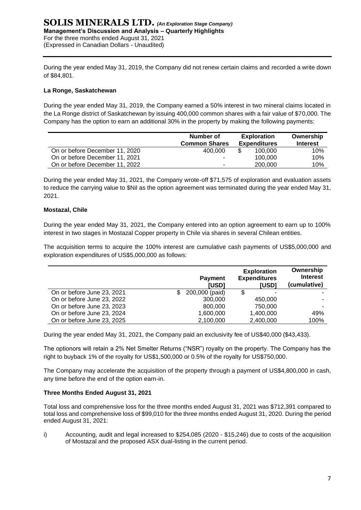# **SOLIS MINERALS LTD.** *(An Exploration Stage Company)* **Management's Discussion and Analysis – Quarterly Highlights** For the three months ended August 31, 2021 (Expressed in Canadian Dollars - Unaudited)

During the year ended May 31, 2019, the Company did not renew certain claims and recorded a write down of \$84,801.

# **La Ronge, Saskatchewan**

During the year ended May 31, 2019, the Company earned a 50% interest in two mineral claims located in the La Ronge district of Saskatchewan by issuing 400,000 common shares with a fair value of \$70,000. The Company has the option to earn an additional 30% in the property by making the following payments:

|                                | Number of<br><b>Common Shares</b> | <b>Exploration</b><br><b>Expenditures</b> | Ownership<br><b>Interest</b> |  |
|--------------------------------|-----------------------------------|-------------------------------------------|------------------------------|--|
| On or before December 11, 2020 | 400.000                           | 100,000                                   | 10%                          |  |
| On or before December 11, 2021 |                                   | 100.000                                   | 10%                          |  |
| On or before December 11, 2022 | -                                 | 200,000                                   | 10%                          |  |

During the year ended May 31, 2021, the Company wrote-off \$71,575 of exploration and evaluation assets to reduce the carrying value to \$Nil as the option agreement was terminated during the year ended May 31, 2021.

# **Mostazal, Chile**

During the year ended May 31, 2021, the Company entered into an option agreement to earn up to 100% interest in two stages in Mostazal Copper property in Chile via shares in several Chilean entities.

The acquisition terms to acquire the 100% interest are cumulative cash payments of US\$5,000,000 and exploration expenditures of US\$5,000,000 as follows:

|                            | <b>Payment</b><br><b>IUSDI</b> | <b>Exploration</b><br><b>Expenditures</b><br><b>IUSDI</b> | Ownership<br><b>Interest</b><br>(cumulative) |
|----------------------------|--------------------------------|-----------------------------------------------------------|----------------------------------------------|
| On or before June 23, 2021 | 200,000 (paid)                 | \$                                                        |                                              |
| On or before June 23, 2022 | 300,000                        | 450,000                                                   |                                              |
| On or before June 23, 2023 | 800,000                        | 750,000                                                   | -                                            |
| On or before June 23, 2024 | 1,600,000                      | 1,400,000                                                 | 49%                                          |
| On or before June 23, 2025 | 2,100,000                      | 2,400,000                                                 | 100%                                         |

During the year ended May 31, 2021, the Company paid an exclusivity fee of US\$40,000 (\$43,433).

The optionors will retain a 2% Net Smelter Returns ("NSR") royalty on the property. The Company has the right to buyback 1% of the royalty for US\$1,500,000 or 0.5% of the royalty for US\$750,000.

The Company may accelerate the acquisition of the property through a payment of US\$4,800,000 in cash, any time before the end of the option earn-in.

# **Three Months Ended August 31, 2021**

Total loss and comprehensive loss for the three months ended August 31, 2021 was \$712,391 compared to total loss and comprehensive loss of \$99,010 for the three months ended August 31, 2020. During the period ended August 31, 2021:

i) Accounting, audit and legal increased to \$254,085 (2020 - \$15,246) due to costs of the acquisition of Mostazal and the proposed ASX dual-listing in the current period.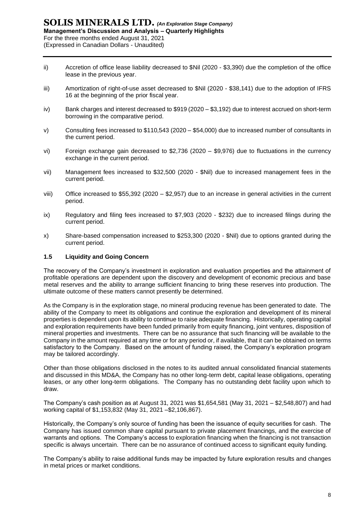- ii) Accretion of office lease liability decreased to \$Nil (2020 \$3,390) due the completion of the office lease in the previous year.
- iii) Amortization of right-of-use asset decreased to \$Nil (2020 \$38,141) due to the adoption of IFRS 16 at the beginning of the prior fiscal year.
- iv) Bank charges and interest decreased to \$919(2020 \$3,192) due to interest accrued on short-term borrowing in the comparative period.
- v) Consulting fees increased to \$110,543 (2020 \$54,000) due to increased number of consultants in the current period.
- vi) Foreign exchange gain decreased to \$2,736 (2020 \$9,976) due to fluctuations in the currency exchange in the current period.
- vii) Management fees increased to \$32,500 (2020 \$Nil) due to increased management fees in the current period.
- viii) Office increased to \$55,392 (2020 \$2,957) due to an increase in general activities in the current period.
- ix) Regulatory and filing fees increased to \$7,903 (2020 \$232) due to increased filings during the current period.
- x) Share-based compensation increased to \$253,300 (2020 \$Nil) due to options granted during the current period.

# **1.5 Liquidity and Going Concern**

The recovery of the Company's investment in exploration and evaluation properties and the attainment of profitable operations are dependent upon the discovery and development of economic precious and base metal reserves and the ability to arrange sufficient financing to bring these reserves into production. The ultimate outcome of these matters cannot presently be determined.

As the Company is in the exploration stage, no mineral producing revenue has been generated to date. The ability of the Company to meet its obligations and continue the exploration and development of its mineral properties is dependent upon its ability to continue to raise adequate financing. Historically, operating capital and exploration requirements have been funded primarily from equity financing, joint ventures, disposition of mineral properties and investments. There can be no assurance that such financing will be available to the Company in the amount required at any time or for any period or, if available, that it can be obtained on terms satisfactory to the Company. Based on the amount of funding raised, the Company's exploration program may be tailored accordingly.

Other than those obligations disclosed in the notes to its audited annual consolidated financial statements and discussed in this MD&A, the Company has no other long-term debt, capital lease obligations, operating leases, or any other long-term obligations. The Company has no outstanding debt facility upon which to draw.

The Company's cash position as at August 31, 2021 was \$1,654,581 (May 31, 2021 – \$2,548,807) and had working capital of \$1,153,832 (May 31, 2021 –\$2,106,867).

Historically, the Company's only source of funding has been the issuance of equity securities for cash. The Company has issued common share capital pursuant to private placement financings, and the exercise of warrants and options. The Company's access to exploration financing when the financing is not transaction specific is always uncertain. There can be no assurance of continued access to significant equity funding.

The Company's ability to raise additional funds may be impacted by future exploration results and changes in metal prices or market conditions.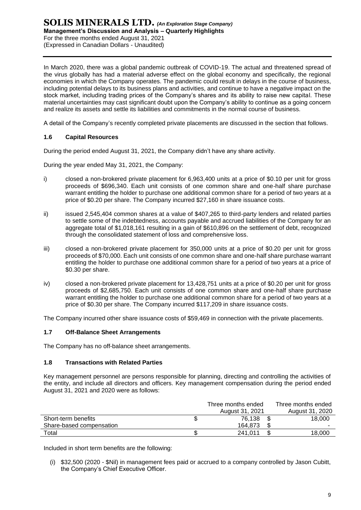In March 2020, there was a global pandemic outbreak of COVID-19. The actual and threatened spread of the virus globally has had a material adverse effect on the global economy and specifically, the regional economies in which the Company operates. The pandemic could result in delays in the course of business, including potential delays to its business plans and activities, and continue to have a negative impact on the stock market, including trading prices of the Company's shares and its ability to raise new capital. These material uncertainties may cast significant doubt upon the Company's ability to continue as a going concern and realize its assets and settle its liabilities and commitments in the normal course of business.

A detail of the Company's recently completed private placements are discussed in the section that follows.

# **1.6 Capital Resources**

During the period ended August 31, 2021, the Company didn't have any share activity.

During the year ended May 31, 2021, the Company:

- i) closed a non-brokered private placement for 6,963,400 units at a price of \$0.10 per unit for gross proceeds of \$696,340. Each unit consists of one common share and one-half share purchase warrant entitling the holder to purchase one additional common share for a period of two years at a price of \$0.20 per share. The Company incurred \$27,160 in share issuance costs.
- ii) issued 2,545,404 common shares at a value of \$407,265 to third-party lenders and related parties to settle some of the indebtedness, accounts payable and accrued liabilities of the Company for an aggregate total of \$1,018,161 resulting in a gain of \$610,896 on the settlement of debt, recognized through the consolidated statement of loss and comprehensive loss.
- iii) closed a non-brokered private placement for 350,000 units at a price of \$0.20 per unit for gross proceeds of \$70,000. Each unit consists of one common share and one-half share purchase warrant entitling the holder to purchase one additional common share for a period of two years at a price of \$0.30 per share.
- iv) closed a non-brokered private placement for 13,428,751 units at a price of \$0.20 per unit for gross proceeds of \$2,685,750. Each unit consists of one common share and one-half share purchase warrant entitling the holder to purchase one additional common share for a period of two years at a price of \$0.30 per share. The Company incurred \$117,209 in share issuance costs.

The Company incurred other share issuance costs of \$59,469 in connection with the private placements.

# **1.7 Off-Balance Sheet Arrangements**

The Company has no off-balance sheet arrangements.

#### **1.8 Transactions with Related Parties**

Key management personnel are persons responsible for planning, directing and controlling the activities of the entity, and include all directors and officers. Key management compensation during the period ended August 31, 2021 and 2020 were as follows:

|                          | Three months ended | Three months ended       |
|--------------------------|--------------------|--------------------------|
|                          | August 31, 2021    | August 31, 2020          |
| Short-term benefits      | 76.138             | 18,000                   |
| Share-based compensation | 164.873            | $\overline{\phantom{a}}$ |
| Total                    | 241.011            | 18.000                   |

Included in short term benefits are the following:

(i) \$32,500 (2020 - \$Nil) in management fees paid or accrued to a company controlled by Jason Cubitt, the Company's Chief Executive Officer.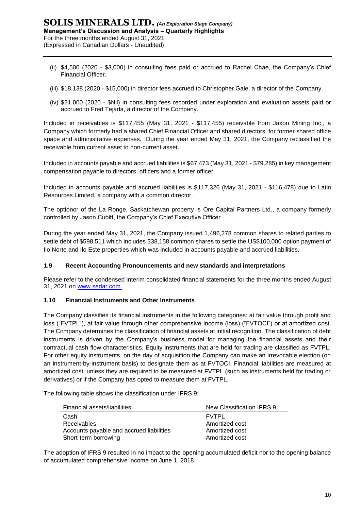- (ii) \$4,500 (2020 \$3,000) in consulting fees paid or accrued to Rachel Chae, the Company's Chief Financial Officer.
- (iii) \$18,138 (2020 \$15,000) in director fees accrued to Christopher Gale, a director of the Company.
- (iv) \$21,000 (2020 \$Nil) in consulting fees recorded under exploration and evaluation assets paid or accrued to Fred Tejada, a director of the Company.

Included in receivables is \$117,455 (May 31, 2021 - \$117,455) receivable from Jaxon Mining Inc., a Company which formerly had a shared Chief Financial Officer and shared directors, for former shared office space and administrative expenses. During the year ended May 31, 2021, the Company reclassified the receivable from current asset to non-current asset.

Included in accounts payable and accrued liabilities is \$67,473 (May 31, 2021 - \$79,285) in key management compensation payable to directors, officers and a former officer.

Included in accounts payable and accrued liabilities is \$117,326 (May 31, 2021 - \$116,478) due to Latin Resources Limited, a company with a common director.

The optionor of the La Ronge, Saskatchewan property is Ore Capital Partners Ltd., a company formerly controlled by Jason Cubitt, the Company's Chief Executive Officer.

During the year ended May 31, 2021, the Company issued 1,496,278 common shares to related parties to settle debt of \$598,511 which includes 338,158 common shares to settle the US\$100,000 option payment of Ilo Norte and Ilo Este properties which was included in accounts payable and accrued liabilities.

# **1.9 Recent Accounting Pronouncements and new standards and interpretations**

Please refer to the condensed interim consolidated financial statements for the three months ended August 31, 2021 on [www.sedar.com.](http://www.sedar.com/)

# **1.10 Financial Instruments and Other Instruments**

The Company classifies its financial instruments in the following categories: at fair value through profit and loss ("FVTPL"), at fair value through other comprehensive income (loss) ("FVTOCI") or at amortized cost. The Company determines the classification of financial assets at initial recognition. The classification of debt instruments is driven by the Company's business model for managing the financial assets and their contractual cash flow characteristics. Equity instruments that are held for trading are classified as FVTPL. For other equity instruments, on the day of acquisition the Company can make an irrevocable election (on an instrument-by-instrument basis) to designate them as at FVTOCI. Financial liabilities are measured at amortized cost, unless they are required to be measured at FVTPL (such as instruments held for trading or derivatives) or if the Company has opted to measure them at FVTPL.

The following table shows the classification under IFRS 9:

| Financial assets/liabilities             | New Classification IFRS 9 |
|------------------------------------------|---------------------------|
| Cash                                     | <b>FVTPL</b>              |
| <b>Receivables</b>                       | Amortized cost            |
| Accounts payable and accrued liabilities | Amortized cost            |
| Short-term borrowing                     | Amortized cost            |

The adoption of IFRS 9 resulted in no impact to the opening accumulated deficit nor to the opening balance of accumulated comprehensive income on June 1, 2018.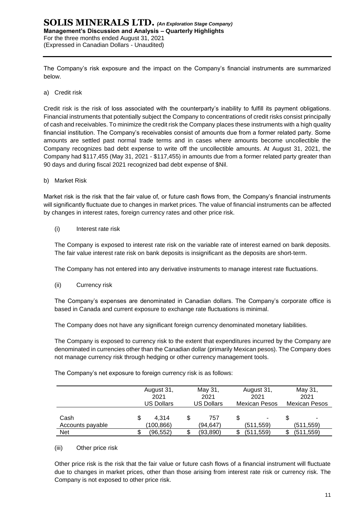The Company's risk exposure and the impact on the Company's financial instruments are summarized below.

a) Credit risk

Credit risk is the risk of loss associated with the counterparty's inability to fulfill its payment obligations. Financial instruments that potentially subject the Company to concentrations of credit risks consist principally of cash and receivables. To minimize the credit risk the Company places these instruments with a high quality financial institution. The Company's receivables consist of amounts due from a former related party. Some amounts are settled past normal trade terms and in cases where amounts become uncollectible the Company recognizes bad debt expense to write off the uncollectible amounts. At August 31, 2021, the Company had \$117,455 (May 31, 2021 - \$117,455) in amounts due from a former related party greater than 90 days and during fiscal 2021 recognized bad debt expense of \$Nil.

b) Market Risk

Market risk is the risk that the fair value of, or future cash flows from, the Company's financial instruments will significantly fluctuate due to changes in market prices. The value of financial instruments can be affected by changes in interest rates, foreign currency rates and other price risk.

(i) Interest rate risk

The Company is exposed to interest rate risk on the variable rate of interest earned on bank deposits. The fair value interest rate risk on bank deposits is insignificant as the deposits are short‐term.

The Company has not entered into any derivative instruments to manage interest rate fluctuations.

(ii) Currency risk

The Company's expenses are denominated in Canadian dollars. The Company's corporate office is based in Canada and current exposure to exchange rate fluctuations is minimal.

The Company does not have any significant foreign currency denominated monetary liabilities.

The Company is exposed to currency risk to the extent that expenditures incurred by the Company are denominated in currencies other than the Canadian dollar (primarily Mexican pesos). The Company does not manage currency risk through hedging or other currency management tools.

|                          | 2021                     | May 31,<br>August 31,<br>2021<br><b>US Dollars</b><br>US Dollars |                 | August 31,<br>2021<br><b>Mexican Pesos</b> | May 31,<br>2021<br>Mexican Pesos |                |  |
|--------------------------|--------------------------|------------------------------------------------------------------|-----------------|--------------------------------------------|----------------------------------|----------------|--|
| Cash<br>Accounts payable | 4.314<br>\$<br>(100,866) | \$                                                               | 757<br>(94,647) | (511, 559)                                 | S                                | ٠<br>(511,559) |  |
| <b>Net</b>               | (96,552)                 | S                                                                | (93, 890)       | (511,559)                                  | S                                | (511, 559)     |  |

The Company's net exposure to foreign currency risk is as follows:

# (iii) Other price risk

Other price risk is the risk that the fair value or future cash flows of a financial instrument will fluctuate due to changes in market prices, other than those arising from interest rate risk or currency risk. The Company is not exposed to other price risk.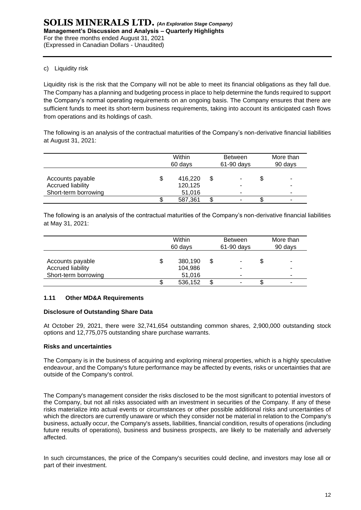# c) Liquidity risk

Liquidity risk is the risk that the Company will not be able to meet its financial obligations as they fall due. The Company has a planning and budgeting process in place to help determine the funds required to support the Company's normal operating requirements on an ongoing basis. The Company ensures that there are sufficient funds to meet its short-term business requirements, taking into account its anticipated cash flows from operations and its holdings of cash.

The following is an analysis of the contractual maturities of the Company's non-derivative financial liabilities at August 31, 2021:

|                                                               | Within<br>60 days            | <b>Between</b><br>$61-90$ days | More than<br>90 days |   |
|---------------------------------------------------------------|------------------------------|--------------------------------|----------------------|---|
| Accounts payable<br>Accrued liability<br>Short-term borrowing | 416,220<br>120,125<br>51,016 |                                | \$                   | - |
|                                                               | 587,361                      |                                | ง                    |   |

The following is an analysis of the contractual maturities of the Company's non-derivative financial liabilities at May 31, 2021:

|                                                               | Within<br>60 days |                              |   | <b>Between</b><br>$61-90$ days | More than<br>90 days |             |
|---------------------------------------------------------------|-------------------|------------------------------|---|--------------------------------|----------------------|-------------|
| Accounts payable<br>Accrued liability<br>Short-term borrowing |                   | 380,190<br>104,986<br>51,016 | S |                                | \$                   | ۰<br>-<br>- |
|                                                               |                   | 536,152                      |   |                                | ง                    | -           |

# **1.11 Other MD&A Requirements**

# **Disclosure of Outstanding Share Data**

At October 29, 2021, there were 32,741,654 outstanding common shares, 2,900,000 outstanding stock options and 12,775,075 outstanding share purchase warrants.

# **Risks and uncertainties**

The Company is in the business of acquiring and exploring mineral properties, which is a highly speculative endeavour, and the Company's future performance may be affected by events, risks or uncertainties that are outside of the Company's control.

The Company's management consider the risks disclosed to be the most significant to potential investors of the Company, but not all risks associated with an investment in securities of the Company. If any of these risks materialize into actual events or circumstances or other possible additional risks and uncertainties of which the directors are currently unaware or which they consider not be material in relation to the Company's business, actually occur, the Company's assets, liabilities, financial condition, results of operations (including future results of operations), business and business prospects, are likely to be materially and adversely affected.

In such circumstances, the price of the Company's securities could decline, and investors may lose all or part of their investment.